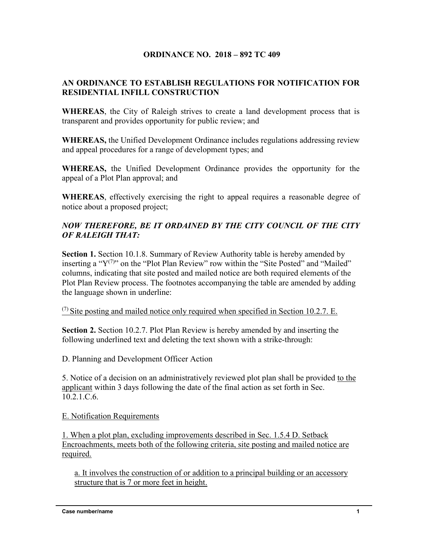## **ORDINANCE NO. 2018 – 892 TC 409**

## **AN ORDINANCE TO ESTABLISH REGULATIONS FOR NOTIFICATION FOR RESIDENTIAL INFILL CONSTRUCTION**

**WHEREAS**, the City of Raleigh strives to create a land development process that is transparent and provides opportunity for public review; and

**WHEREAS,** the Unified Development Ordinance includes regulations addressing review and appeal procedures for a range of development types; and

**WHEREAS,** the Unified Development Ordinance provides the opportunity for the appeal of a Plot Plan approval; and

**WHEREAS**, effectively exercising the right to appeal requires a reasonable degree of notice about a proposed project;

## *NOW THEREFORE, BE IT ORDAINED BY THE CITY COUNCIL OF THE CITY OF RALEIGH THAT:*

**Section 1.** Section 10.1.8. Summary of Review Authority table is hereby amended by inserting a " $Y^{(7)}$ " on the "Plot Plan Review" row within the "Site Posted" and "Mailed" columns, indicating that site posted and mailed notice are both required elements of the Plot Plan Review process. The footnotes accompanying the table are amended by adding the language shown in underline:

 $(7)$  Site posting and mailed notice only required when specified in Section 10.2.7. E.

**Section 2.** Section 10.2.7. Plot Plan Review is hereby amended by and inserting the following underlined text and deleting the text shown with a strike-through:

D. Planning and Development Officer Action

5. Notice of a decision on an administratively reviewed plot plan shall be provided to the applicant within 3 days following the date of the final action as set forth in Sec. 10.2.1.C.6.

E. Notification Requirements

1. When a plot plan, excluding improvements described in Sec. 1.5.4 D. Setback Encroachments, meets both of the following criteria, site posting and mailed notice are required.

a. It involves the construction of or addition to a principal building or an accessory structure that is 7 or more feet in height.